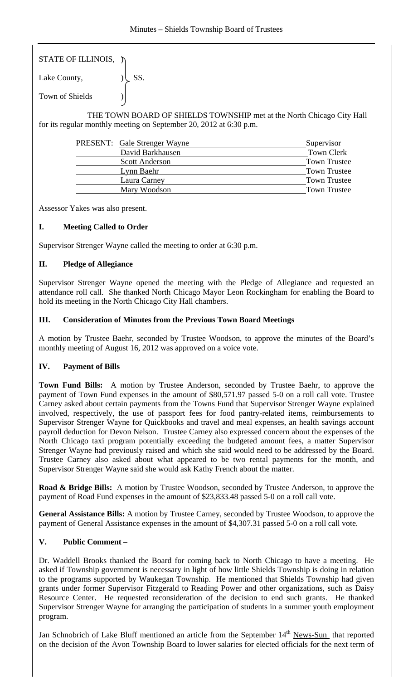| STATE OF ILLINOIS, $\n  \n$ |     |
|-----------------------------|-----|
| Lake County,                | SS. |
| <b>Town of Shields</b>      |     |

 THE TOWN BOARD OF SHIELDS TOWNSHIP met at the North Chicago City Hall for its regular monthly meeting on September 20, 2012 at 6:30 p.m.

| <b>PRESENT:</b> Gale Strenger Wayne | Supervisor          |
|-------------------------------------|---------------------|
| David Barkhausen                    | <b>Town Clerk</b>   |
| <b>Scott Anderson</b>               | <b>Town Trustee</b> |
| Lynn Baehr                          | <b>Town Trustee</b> |
| Laura Carney                        | <b>Town Trustee</b> |
| Mary Woodson                        | <b>Town Trustee</b> |

Assessor Yakes was also present.

# **I. Meeting Called to Order**

Supervisor Strenger Wayne called the meeting to order at 6:30 p.m.

# **II. Pledge of Allegiance**

Supervisor Strenger Wayne opened the meeting with the Pledge of Allegiance and requested an attendance roll call. She thanked North Chicago Mayor Leon Rockingham for enabling the Board to hold its meeting in the North Chicago City Hall chambers.

# **III. Consideration of Minutes from the Previous Town Board Meetings**

A motion by Trustee Baehr, seconded by Trustee Woodson, to approve the minutes of the Board's monthly meeting of August 16, 2012 was approved on a voice vote.

# **IV. Payment of Bills**

**Town Fund Bills:** A motion by Trustee Anderson, seconded by Trustee Baehr, to approve the payment of Town Fund expenses in the amount of \$80,571.97 passed 5-0 on a roll call vote. Trustee Carney asked about certain payments from the Towns Fund that Supervisor Strenger Wayne explained involved, respectively, the use of passport fees for food pantry-related items, reimbursements to Supervisor Strenger Wayne for Quickbooks and travel and meal expenses, an health savings account payroll deduction for Devon Nelson. Trustee Carney also expressed concern about the expenses of the North Chicago taxi program potentially exceeding the budgeted amount fees, a matter Supervisor Strenger Wayne had previously raised and which she said would need to be addressed by the Board. Trustee Carney also asked about what appeared to be two rental payments for the month, and Supervisor Strenger Wayne said she would ask Kathy French about the matter.

**Road & Bridge Bills:** A motion by Trustee Woodson, seconded by Trustee Anderson, to approve the payment of Road Fund expenses in the amount of \$23,833.48 passed 5-0 on a roll call vote.

**General Assistance Bills:** A motion by Trustee Carney, seconded by Trustee Woodson, to approve the payment of General Assistance expenses in the amount of \$4,307.31 passed 5-0 on a roll call vote.

# **V. Public Comment –**

Dr. Waddell Brooks thanked the Board for coming back to North Chicago to have a meeting. He asked if Township government is necessary in light of how little Shields Township is doing in relation to the programs supported by Waukegan Township. He mentioned that Shields Township had given grants under former Supervisor Fitzgerald to Reading Power and other organizations, such as Daisy Resource Center. He requested reconsideration of the decision to end such grants. He thanked Supervisor Strenger Wayne for arranging the participation of students in a summer youth employment program.

Jan Schnobrich of Lake Bluff mentioned an article from the September  $14<sup>th</sup>$  News-Sun that reported on the decision of the Avon Township Board to lower salaries for elected officials for the next term of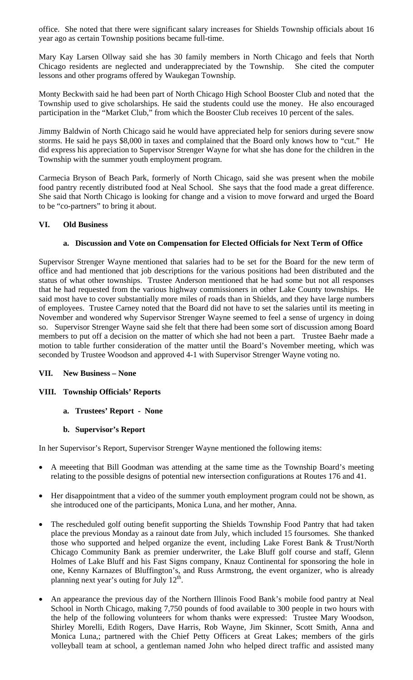office. She noted that there were significant salary increases for Shields Township officials about 16 year ago as certain Township positions became full-time.

Mary Kay Larsen Ollway said she has 30 family members in North Chicago and feels that North Chicago residents are neglected and underappreciated by the Township. She cited the computer lessons and other programs offered by Waukegan Township.

Monty Beckwith said he had been part of North Chicago High School Booster Club and noted that the Township used to give scholarships. He said the students could use the money. He also encouraged participation in the "Market Club," from which the Booster Club receives 10 percent of the sales.

Jimmy Baldwin of North Chicago said he would have appreciated help for seniors during severe snow storms. He said he pays \$8,000 in taxes and complained that the Board only knows how to "cut." He did express his appreciation to Supervisor Strenger Wayne for what she has done for the children in the Township with the summer youth employment program.

Carmecia Bryson of Beach Park, formerly of North Chicago, said she was present when the mobile food pantry recently distributed food at Neal School. She says that the food made a great difference. She said that North Chicago is looking for change and a vision to move forward and urged the Board to be "co-partners" to bring it about.

# **VI. Old Business**

# **a. Discussion and Vote on Compensation for Elected Officials for Next Term of Office**

Supervisor Strenger Wayne mentioned that salaries had to be set for the Board for the new term of office and had mentioned that job descriptions for the various positions had been distributed and the status of what other townships. Trustee Anderson mentioned that he had some but not all responses that he had requested from the various highway commissioners in other Lake County townships. He said most have to cover substantially more miles of roads than in Shields, and they have large numbers of employees. Trustee Carney noted that the Board did not have to set the salaries until its meeting in November and wondered why Supervisor Strenger Wayne seemed to feel a sense of urgency in doing so. Supervisor Strenger Wayne said she felt that there had been some sort of discussion among Board members to put off a decision on the matter of which she had not been a part. Trustee Baehr made a motion to table further consideration of the matter until the Board's November meeting, which was seconded by Trustee Woodson and approved 4-1 with Supervisor Strenger Wayne voting no.

# **VII. New Business – None**

# **VIII. Township Officials' Reports**

**a. Trustees' Report - None** 

# **b. Supervisor's Report**

In her Supervisor's Report, Supervisor Strenger Wayne mentioned the following items:

- A meeeting that Bill Goodman was attending at the same time as the Township Board's meeting relating to the possible designs of potential new intersection configurations at Routes 176 and 41.
- Her disappointment that a video of the summer youth employment program could not be shown, as she introduced one of the participants, Monica Luna, and her mother, Anna.
- The rescheduled golf outing benefit supporting the Shields Township Food Pantry that had taken place the previous Monday as a rainout date from July, which included 15 foursomes. She thanked those who supported and helped organize the event, including Lake Forest Bank & Trust/North Chicago Community Bank as premier underwriter, the Lake Bluff golf course and staff, Glenn Holmes of Lake Bluff and his Fast Signs company, Knauz Continental for sponsoring the hole in one, Kenny Karnazes of Bluffington's, and Russ Armstrong, the event organizer, who is already planning next year's outing for July  $12<sup>th</sup>$ .
- An appearance the previous day of the Northern Illinois Food Bank's mobile food pantry at Neal School in North Chicago, making 7,750 pounds of food available to 300 people in two hours with the help of the following volunteers for whom thanks were expressed: Trustee Mary Woodson, Shirley Morelli, Edith Rogers, Dave Harris, Rob Wayne, Jim Skinner, Scott Smith, Anna and Monica Luna,; partnered with the Chief Petty Officers at Great Lakes; members of the girls volleyball team at school, a gentleman named John who helped direct traffic and assisted many